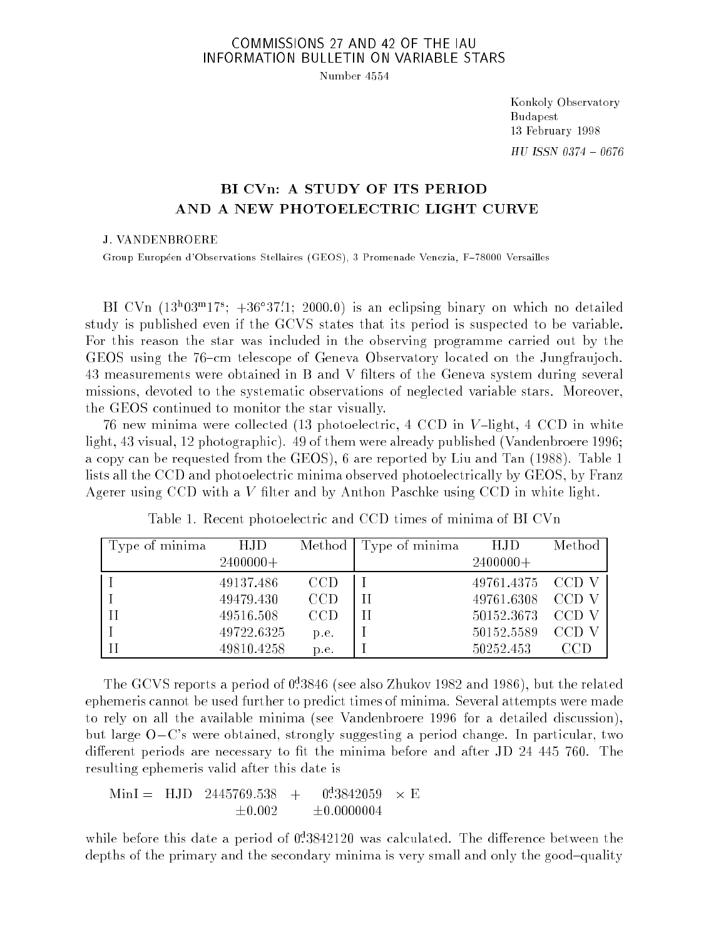## COMMISSIONS 27 AND 42 OF THE IAU INFORMATION BULLETIN ON VARIABLE STARS

Number 4554

Konkoly Observatory Budapest 13 February 1998  $HU$  ISSN 0374 - 0676

## BI CVn: A STUDY OF ITS PERIOD AND A NEW PHOTOELECTRIC LIGHT CURVE

## J. VANDENBROERE

Group Européen d'Observations Stellaires (GEOS), 3 Promenade Venezia, F-78000 Versailles

 $\text{DI} \cup \text{Vn}$  (13~03^17); +30 37.1; 2000.0) is an eclipsing binary on which no detailed study is published even if the GCVS states that its period is suspected to be variable. For this reason the star was included in the observing programme carried out by the GEOS using the 76-cm telescope of Geneva Observatory located on the Jungfraujoch. 43 measurements were obtained in B and V lters of the Geneva system during several missions, devoted to the systematic observations of neglected variable stars. Moreover, the GEOS continued to monitor the star visually.

76 new minima were collected (13 photoelectric,  $4 \text{ CCD}$  in  $V$ -light,  $4 \text{ CCD}$  in white light, 43 visual, 12 photographic). 49 of them were already published (Vandenbroere 1996; a copy can be requested from the GEOS), 6 are reported by Liu and Tan (1988). Table 1 lists all the CCD and photoelectric minima observed photoelectrically by GEOS, by Franz Agerer using CCD with a  $V$  filter and by Anthon Paschke using CCD in white light.

| Type of minima | HJD        | Method | Type of minima | HJD              | Method |
|----------------|------------|--------|----------------|------------------|--------|
|                | $2400000+$ |        |                | $2400000+$       |        |
|                | 49137.486  | CCD    |                | 49761.4375 CCD V |        |
|                | 49479.430  | CCD    |                | 49761.6308 CCD V |        |
|                | 49516.508  | CCD    |                | 50152.3673 CCD V |        |
|                | 49722.6325 | p.e.   |                | 50152.5589       | CCD    |
|                | 49810.4258 | p.e.   |                | 50252.453        | CCD    |

Table 1. Recent photoelectric and CCD times of minima of BI CVn

The GCVS reports a period of 0: <sup>d</sup> 3846 (see also Zhukov 1982 and 1986), but the related ephemeris cannot be used further to predict times of minima. Several attempts were made to rely on all the available minima (see Vandenbroere 1996 for a detailed discussion), but large  $O-C'$ s were obtained, strongly suggesting a period change. In particular, two different periods are necessary to fit the minima before and after JD 24 445 760. The resulting ephemeris valid after this date is

$$
\text{MinI} = \text{HJD} \quad 2445769.538 + 0^43842059 \times E
$$
  

$$
\pm 0.002 + 0.0000004
$$

while before this date a period of 0:3842120 was calculated. The difference between the depths of the primary and the secondary minima is very small and only the good-quality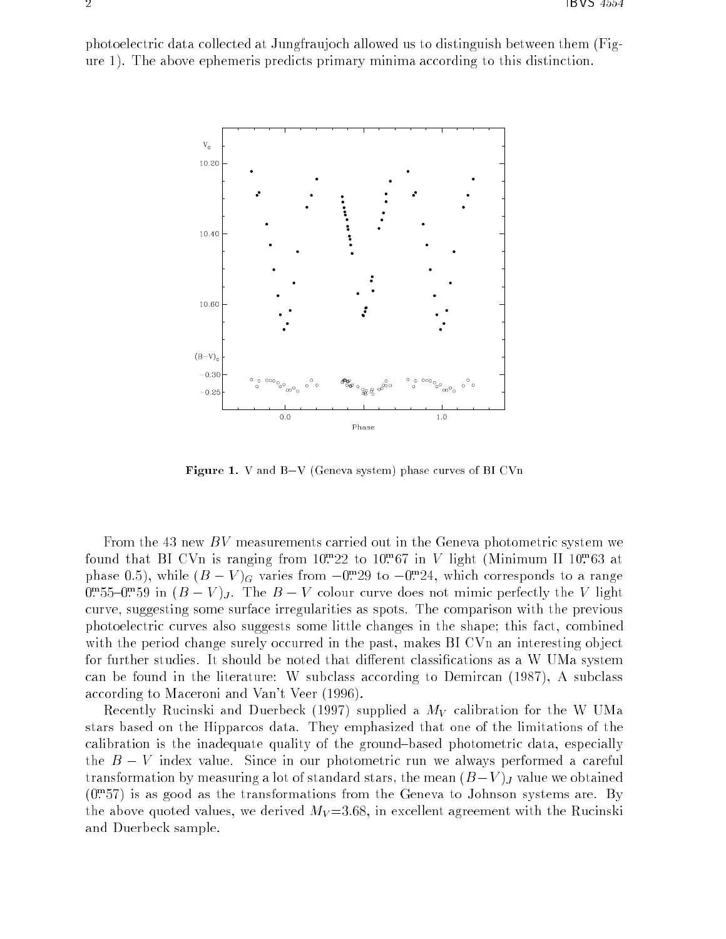photoelectric data collected at Jungfraujoch allowed us to distinguish between them (Figure 1). The above ephemeris predicts primary minima according to this distinction.



**Figure 1.** V and B–V (Geneva system) phase curves of BI CVn

From the 43 new  $BV$  measurements carried out in the Geneva photometric system we found that BI UVn is ranging from IU: 22 to IU: 07 in V light (Minimum II 10: 03 at phase 0.5), while  $(D - V)_{G}$  varies from  $-0.729$  to  $-0.724$ , which corresponds to a range  $0:$  50– $0:$   $5$  in (B  $-$  V ) $_J$ . The B  $-$  V colour curve does not mimic perfectly the V light curve, suggesting some surface irregularities as spots. The comparison with the previous photoelectric curves also suggests some little changes in the shape; this fact, combined with the period change surely occurred in the past, makes BI CVn an interesting object for further studies. It should be noted that different classifications as a W UMa system can be found in the literature: W subclass according to Demircan (1987), A subclass according to Maceroni and Van't Veer (1996).

Recently Rucinski and Duerbeck (1997) supplied a  $M_V$  calibration for the W UMa stars based on the Hipparcos data. They emphasized that one of the limitations of the calibration is the inadequate quality of the ground-based photometric data, especially the  $B - V$  index value. Since in our photometric run we always performed a careful transformation by measuring a lot of standard stars, the mean  $(B-V)_J$  value we obtained  $(0.757)$  is as good as the transformations from the Geneva to Johnson systems are. By the above quoted values, we derived  $M_V = 3.68$ , in excellent agreement with the Rucinski and Duerbeck sample.